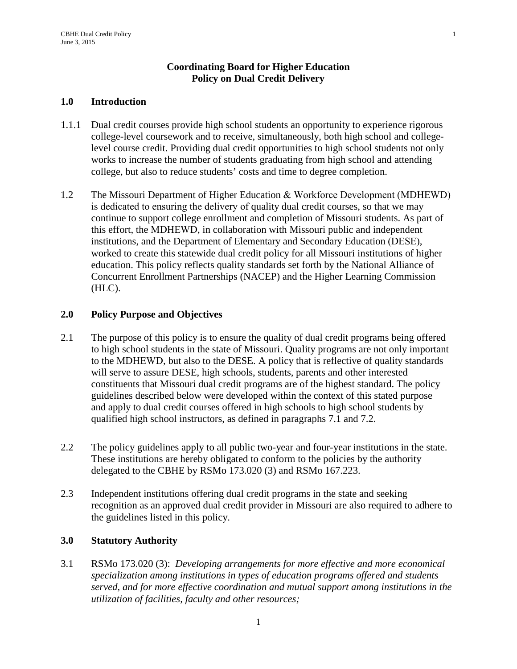# **Coordinating Board for Higher Education Policy on Dual Credit Delivery**

#### **1.0 Introduction**

- 1.1.1 Dual credit courses provide high school students an opportunity to experience rigorous college-level coursework and to receive, simultaneously, both high school and collegelevel course credit. Providing dual credit opportunities to high school students not only works to increase the number of students graduating from high school and attending college, but also to reduce students' costs and time to degree completion.
- 1.2 The Missouri Department of Higher Education & Workforce Development (MDHEWD) is dedicated to ensuring the delivery of quality dual credit courses, so that we may continue to support college enrollment and completion of Missouri students. As part of this effort, the MDHEWD, in collaboration with Missouri public and independent institutions, and the Department of Elementary and Secondary Education (DESE), worked to create this statewide dual credit policy for all Missouri institutions of higher education. This policy reflects quality standards set forth by the National Alliance of Concurrent Enrollment Partnerships (NACEP) and the Higher Learning Commission (HLC).

### **2.0 Policy Purpose and Objectives**

- 2.1 The purpose of this policy is to ensure the quality of dual credit programs being offered to high school students in the state of Missouri. Quality programs are not only important to the MDHEWD, but also to the DESE. A policy that is reflective of quality standards will serve to assure DESE, high schools, students, parents and other interested constituents that Missouri dual credit programs are of the highest standard. The policy guidelines described below were developed within the context of this stated purpose and apply to dual credit courses offered in high schools to high school students by qualified high school instructors, as defined in paragraphs 7.1 and 7.2.
- 2.2 The policy guidelines apply to all public two-year and four-year institutions in the state. These institutions are hereby obligated to conform to the policies by the authority delegated to the CBHE by RSMo 173.020 (3) and RSMo 167.223.
- 2.3 Independent institutions offering dual credit programs in the state and seeking recognition as an approved dual credit provider in Missouri are also required to adhere to the guidelines listed in this policy.

# **3.0 Statutory Authority**

3.1 RSMo 173.020 (3): *Developing arrangements for more effective and more economical specialization among institutions in types of education programs offered and students served, and for more effective coordination and mutual support among institutions in the utilization of facilities, faculty and other resources;*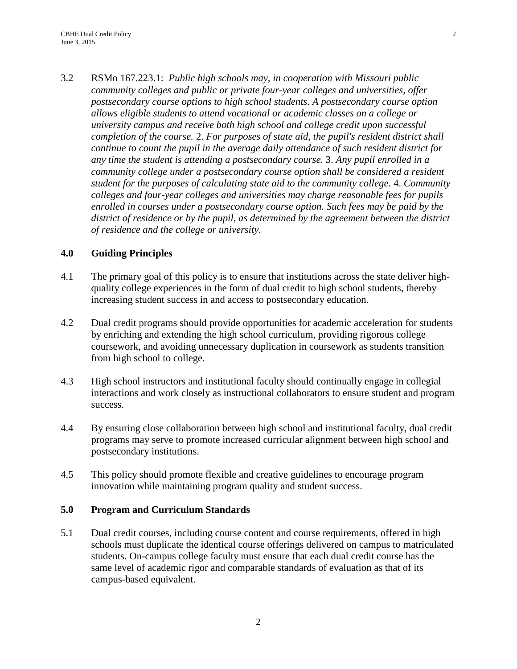3.2 RSMo 167.223.1: *Public high schools may, in cooperation with Missouri public community colleges and public or private four-year colleges and universities, offer postsecondary course options to high school students. A postsecondary course option allows eligible students to attend vocational or academic classes on a college or university campus and receive both high school and college credit upon successful completion of the course.* 2. *For purposes of state aid, the pupil's resident district shall continue to count the pupil in the average daily attendance of such resident district for any time the student is attending a postsecondary course.* 3. *Any pupil enrolled in a community college under a postsecondary course option shall be considered a resident student for the purposes of calculating state aid to the community college.* 4. *Community colleges and four-year colleges and universities may charge reasonable fees for pupils enrolled in courses under a postsecondary course option. Such fees may be paid by the district of residence or by the pupil, as determined by the agreement between the district of residence and the college or university.* 

# **4.0 Guiding Principles**

- 4.1 The primary goal of this policy is to ensure that institutions across the state deliver highquality college experiences in the form of dual credit to high school students, thereby increasing student success in and access to postsecondary education.
- 4.2 Dual credit programs should provide opportunities for academic acceleration for students by enriching and extending the high school curriculum, providing rigorous college coursework, and avoiding unnecessary duplication in coursework as students transition from high school to college.
- 4.3 High school instructors and institutional faculty should continually engage in collegial interactions and work closely as instructional collaborators to ensure student and program success.
- 4.4 By ensuring close collaboration between high school and institutional faculty, dual credit programs may serve to promote increased curricular alignment between high school and postsecondary institutions.
- 4.5 This policy should promote flexible and creative guidelines to encourage program innovation while maintaining program quality and student success.

#### **5.0 Program and Curriculum Standards**

5.1 Dual credit courses, including course content and course requirements, offered in high schools must duplicate the identical course offerings delivered on campus to matriculated students. On-campus college faculty must ensure that each dual credit course has the same level of academic rigor and comparable standards of evaluation as that of its campus-based equivalent.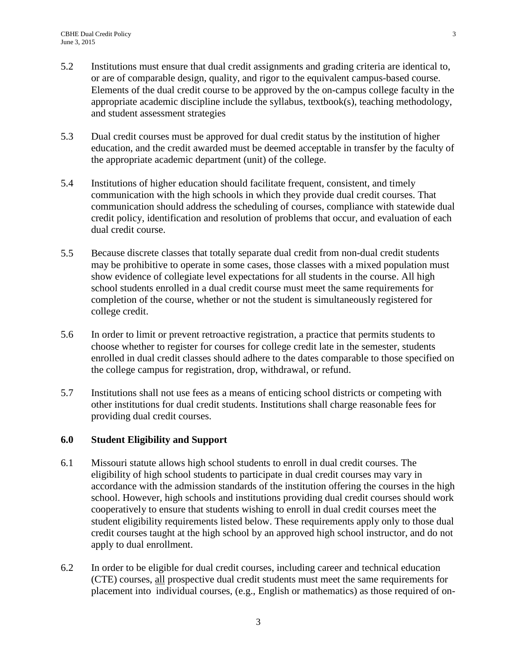- 5.2 Institutions must ensure that dual credit assignments and grading criteria are identical to, or are of comparable design, quality, and rigor to the equivalent campus-based course. Elements of the dual credit course to be approved by the on-campus college faculty in the appropriate academic discipline include the syllabus, textbook(s), teaching methodology, and student assessment strategies
- 5.3 Dual credit courses must be approved for dual credit status by the institution of higher education, and the credit awarded must be deemed acceptable in transfer by the faculty of the appropriate academic department (unit) of the college.
- 5.4 Institutions of higher education should facilitate frequent, consistent, and timely communication with the high schools in which they provide dual credit courses. That communication should address the scheduling of courses, compliance with statewide dual credit policy, identification and resolution of problems that occur, and evaluation of each dual credit course.
- 5.5 Because discrete classes that totally separate dual credit from non-dual credit students may be prohibitive to operate in some cases, those classes with a mixed population must show evidence of collegiate level expectations for all students in the course. All high school students enrolled in a dual credit course must meet the same requirements for completion of the course, whether or not the student is simultaneously registered for college credit.
- 5.6 In order to limit or prevent retroactive registration, a practice that permits students to choose whether to register for courses for college credit late in the semester, students enrolled in dual credit classes should adhere to the dates comparable to those specified on the college campus for registration, drop, withdrawal, or refund.
- 5.7 Institutions shall not use fees as a means of enticing school districts or competing with other institutions for dual credit students. Institutions shall charge reasonable fees for providing dual credit courses.

# **6.0 Student Eligibility and Support**

- 6.1 Missouri statute allows high school students to enroll in dual credit courses. The eligibility of high school students to participate in dual credit courses may vary in accordance with the admission standards of the institution offering the courses in the high school. However, high schools and institutions providing dual credit courses should work cooperatively to ensure that students wishing to enroll in dual credit courses meet the student eligibility requirements listed below. These requirements apply only to those dual credit courses taught at the high school by an approved high school instructor, and do not apply to dual enrollment.
- 6.2 In order to be eligible for dual credit courses, including career and technical education (CTE) courses, all prospective dual credit students must meet the same requirements for placement into individual courses, (e.g., English or mathematics) as those required of on-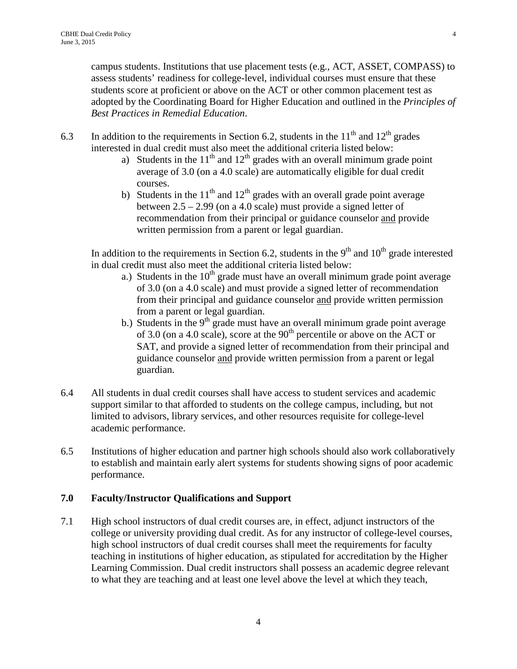campus students. Institutions that use placement tests (e.g., ACT, ASSET, COMPASS) to assess students' readiness for college-level, individual courses must ensure that these students score at proficient or above on the ACT or other common placement test as adopted by the Coordinating Board for Higher Education and outlined in the *Principles of Best Practices in Remedial Education*.

- 6.3 In addition to the requirements in Section 6.2, students in the  $11<sup>th</sup>$  and  $12<sup>th</sup>$  grades interested in dual credit must also meet the additional criteria listed below:
	- a) Students in the  $11<sup>th</sup>$  and  $12<sup>th</sup>$  grades with an overall minimum grade point average of 3.0 (on a 4.0 scale) are automatically eligible for dual credit courses.
	- b) Students in the  $11<sup>th</sup>$  and  $12<sup>th</sup>$  grades with an overall grade point average between 2.5 – 2.99 (on a 4.0 scale) must provide a signed letter of recommendation from their principal or guidance counselor and provide written permission from a parent or legal guardian.

In addition to the requirements in Section 6.2, students in the  $9<sup>th</sup>$  and  $10<sup>th</sup>$  grade interested in dual credit must also meet the additional criteria listed below:

- a.) Students in the  $10<sup>th</sup>$  grade must have an overall minimum grade point average of 3.0 (on a 4.0 scale) and must provide a signed letter of recommendation from their principal and guidance counselor and provide written permission from a parent or legal guardian.
- b.) Students in the  $9<sup>th</sup>$  grade must have an overall minimum grade point average of 3.0 (on a 4.0 scale), score at the  $90<sup>th</sup>$  percentile or above on the ACT or SAT, and provide a signed letter of recommendation from their principal and guidance counselor and provide written permission from a parent or legal guardian.
- 6.4 All students in dual credit courses shall have access to student services and academic support similar to that afforded to students on the college campus, including, but not limited to advisors, library services, and other resources requisite for college-level academic performance.
- 6.5 Institutions of higher education and partner high schools should also work collaboratively to establish and maintain early alert systems for students showing signs of poor academic performance.

# **7.0 Faculty/Instructor Qualifications and Support**

7.1 High school instructors of dual credit courses are, in effect, adjunct instructors of the college or university providing dual credit. As for any instructor of college-level courses, high school instructors of dual credit courses shall meet the requirements for faculty teaching in institutions of higher education, as stipulated for accreditation by the Higher Learning Commission. Dual credit instructors shall possess an academic degree relevant to what they are teaching and at least one level above the level at which they teach,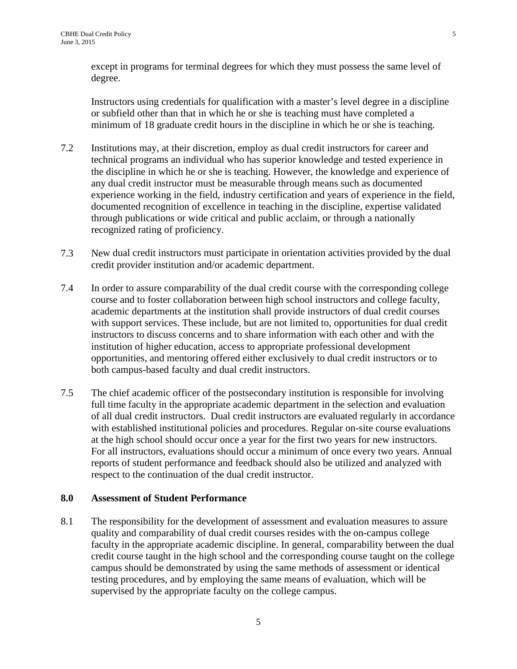except in programs for terminal degrees for which they must possess the same level of degree.

Instructors using credentials for qualification with a master's level degree in a discipline or subfield other than that in which he or she is teaching must have completed a minimum of 18 graduate credit hours in the discipline in which he or she is teaching.

- 7.2 Institutions may, at their discretion, employ as dual credit instructors for career and technical programs an individual who has superior knowledge and tested experience in the discipline in which he or she is teaching. However, the knowledge and experience of any dual credit instructor must be measurable through means such as documented experience working in the field, industry certification and years of experience in the field, documented recognition of excellence in teaching in the discipline, expertise validated through publications or wide critical and public acclaim, or through a nationally recognized rating of proficiency.
- 7.3 New dual credit instructors must participate in orientation activities provided by the dual credit provider institution and/or academic department.
- 7.4 In order to assure comparability of the dual credit course with the corresponding college course and to foster collaboration between high school instructors and college faculty, academic departments at the institution shall provide instructors of dual credit courses with support services. These include, but are not limited to, opportunities for dual credit instructors to discuss concerns and to share information with each other and with the institution of higher education, access to appropriate professional development opportunities, and mentoring offered either exclusively to dual credit instructors or to both campus-based faculty and dual credit instructors.
- 7.5 The chief academic officer of the postsecondary institution is responsible for involving full time faculty in the appropriate academic department in the selection and evaluation of all dual credit instructors. Dual credit instructors are evaluated regularly in accordance with established institutional policies and procedures. Regular on-site course evaluations at the high school should occur once a year for the first two years for new instructors. For all instructors, evaluations should occur a minimum of once every two years. Annual reports of student performance and feedback should also be utilized and analyzed with respect to the continuation of the dual credit instructor.

#### **8.0 Assessment of Student Performance**

8.1 The responsibility for the development of assessment and evaluation measures to assure quality and comparability of dual credit courses resides with the on-campus college faculty in the appropriate academic discipline. In general, comparability between the dual credit course taught in the high school and the corresponding course taught on the college campus should be demonstrated by using the same methods of assessment or identical testing procedures, and by employing the same means of evaluation, which will be supervised by the appropriate faculty on the college campus.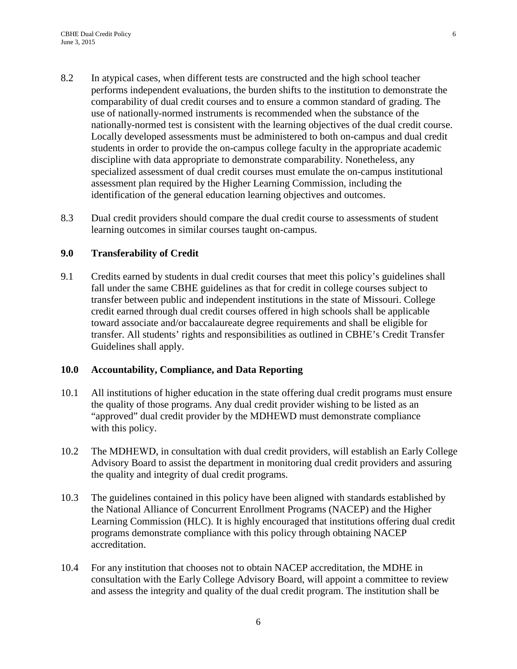- 8.2 In atypical cases, when different tests are constructed and the high school teacher performs independent evaluations, the burden shifts to the institution to demonstrate the comparability of dual credit courses and to ensure a common standard of grading. The use of nationally-normed instruments is recommended when the substance of the nationally-normed test is consistent with the learning objectives of the dual credit course. Locally developed assessments must be administered to both on-campus and dual credit students in order to provide the on-campus college faculty in the appropriate academic discipline with data appropriate to demonstrate comparability. Nonetheless, any specialized assessment of dual credit courses must emulate the on-campus institutional assessment plan required by the Higher Learning Commission, including the identification of the general education learning objectives and outcomes.
- 8.3 Dual credit providers should compare the dual credit course to assessments of student learning outcomes in similar courses taught on-campus.

### **9.0 Transferability of Credit**

9.1 Credits earned by students in dual credit courses that meet this policy's guidelines shall fall under the same CBHE guidelines as that for credit in college courses subject to transfer between public and independent institutions in the state of Missouri. College credit earned through dual credit courses offered in high schools shall be applicable toward associate and/or baccalaureate degree requirements and shall be eligible for transfer. All students' rights and responsibilities as outlined in CBHE's Credit Transfer Guidelines shall apply.

#### **10.0 Accountability, Compliance, and Data Reporting**

- 10.1 All institutions of higher education in the state offering dual credit programs must ensure the quality of those programs. Any dual credit provider wishing to be listed as an "approved" dual credit provider by the MDHEWD must demonstrate compliance with this policy.
- 10.2 The MDHEWD, in consultation with dual credit providers, will establish an Early College Advisory Board to assist the department in monitoring dual credit providers and assuring the quality and integrity of dual credit programs.
- 10.3 The guidelines contained in this policy have been aligned with standards established by the National Alliance of Concurrent Enrollment Programs (NACEP) and the Higher Learning Commission (HLC). It is highly encouraged that institutions offering dual credit programs demonstrate compliance with this policy through obtaining NACEP accreditation.
- 10.4 For any institution that chooses not to obtain NACEP accreditation, the MDHE in consultation with the Early College Advisory Board, will appoint a committee to review and assess the integrity and quality of the dual credit program. The institution shall be